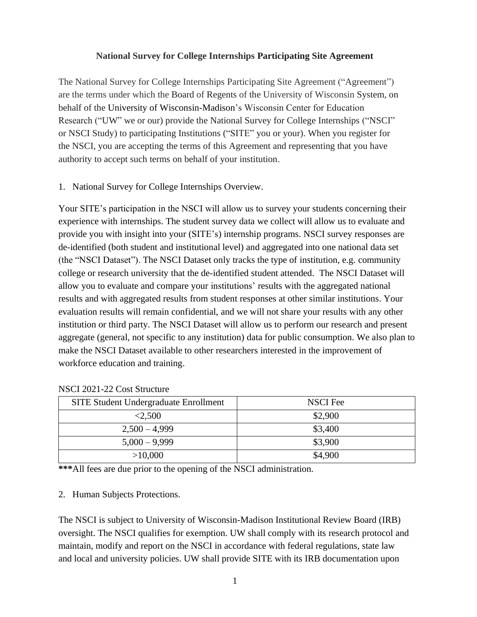#### **National Survey for College Internships Participating Site Agreement**

The National Survey for College Internships Participating Site Agreement ("Agreement") are the terms under which the Board of Regents of the University of Wisconsin System, on behalf of the University of Wisconsin-Madison's Wisconsin Center for Education Research ("UW" we or our) provide the National Survey for College Internships ("NSCI" or NSCI Study) to participating Institutions ("SITE" you or your). When you register for the NSCI, you are accepting the terms of this Agreement and representing that you have authority to accept such terms on behalf of your institution.

1. National Survey for College Internships Overview.

Your SITE's participation in the NSCI will allow us to survey your students concerning their experience with internships. The student survey data we collect will allow us to evaluate and provide you with insight into your (SITE's) internship programs. NSCI survey responses are de-identified (both student and institutional level) and aggregated into one national data set (the "NSCI Dataset"). The NSCI Dataset only tracks the type of institution, e.g. community college or research university that the de-identified student attended. The NSCI Dataset will allow you to evaluate and compare your institutions' results with the aggregated national results and with aggregated results from student responses at other similar institutions. Your evaluation results will remain confidential, and we will not share your results with any other institution or third party. The NSCI Dataset will allow us to perform our research and present aggregate (general, not specific to any institution) data for public consumption. We also plan to make the NSCI Dataset available to other researchers interested in the improvement of workforce education and training.

| SITE Student Undergraduate Enrollment | NSCI Fee |
|---------------------------------------|----------|
| < 2,500                               | \$2,900  |
| $2,500 - 4,999$                       | \$3,400  |
| $5,000 - 9,999$                       | \$3,900  |
| >10,000                               | \$4,900  |

NSCI 2021-22 Cost Structure

**\*\*\***All fees are due prior to the opening of the NSCI administration.

### 2. Human Subjects Protections.

The NSCI is subject to University of Wisconsin-Madison Institutional Review Board (IRB) oversight. The NSCI qualifies for exemption. UW shall comply with its research protocol and maintain, modify and report on the NSCI in accordance with federal regulations, state law and local and university policies. UW shall provide SITE with its IRB documentation upon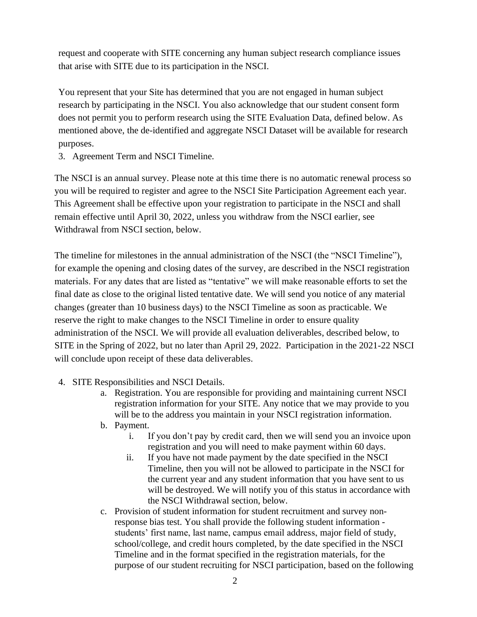request and cooperate with SITE concerning any human subject research compliance issues that arise with SITE due to its participation in the NSCI.

You represent that your Site has determined that you are not engaged in human subject research by participating in the NSCI. You also acknowledge that our student consent form does not permit you to perform research using the SITE Evaluation Data, defined below. As mentioned above, the de-identified and aggregate NSCI Dataset will be available for research purposes.

3. Agreement Term and NSCI Timeline.

The NSCI is an annual survey. Please note at this time there is no automatic renewal process so you will be required to register and agree to the NSCI Site Participation Agreement each year. This Agreement shall be effective upon your registration to participate in the NSCI and shall remain effective until April 30, 2022, unless you withdraw from the NSCI earlier, see Withdrawal from NSCI section, below.

The timeline for milestones in the annual administration of the NSCI (the "NSCI Timeline"), for example the opening and closing dates of the survey, are described in the NSCI registration materials. For any dates that are listed as "tentative" we will make reasonable efforts to set the final date as close to the original listed tentative date. We will send you notice of any material changes (greater than 10 business days) to the NSCI Timeline as soon as practicable. We reserve the right to make changes to the NSCI Timeline in order to ensure quality administration of the NSCI. We will provide all evaluation deliverables, described below, to SITE in the Spring of 2022, but no later than April 29, 2022. Participation in the 2021-22 NSCI will conclude upon receipt of these data deliverables.

- 4. SITE Responsibilities and NSCI Details.
	- a. Registration. You are responsible for providing and maintaining current NSCI registration information for your SITE. Any notice that we may provide to you will be to the address you maintain in your NSCI registration information.
	- b. Payment.
		- i. If you don't pay by credit card, then we will send you an invoice upon registration and you will need to make payment within 60 days.
		- ii. If you have not made payment by the date specified in the NSCI Timeline, then you will not be allowed to participate in the NSCI for the current year and any student information that you have sent to us will be destroyed. We will notify you of this status in accordance with the NSCI Withdrawal section, below.
	- c. Provision of student information for student recruitment and survey nonresponse bias test. You shall provide the following student information students' first name, last name, campus email address, major field of study, school/college, and credit hours completed, by the date specified in the NSCI Timeline and in the format specified in the registration materials, for the purpose of our student recruiting for NSCI participation, based on the following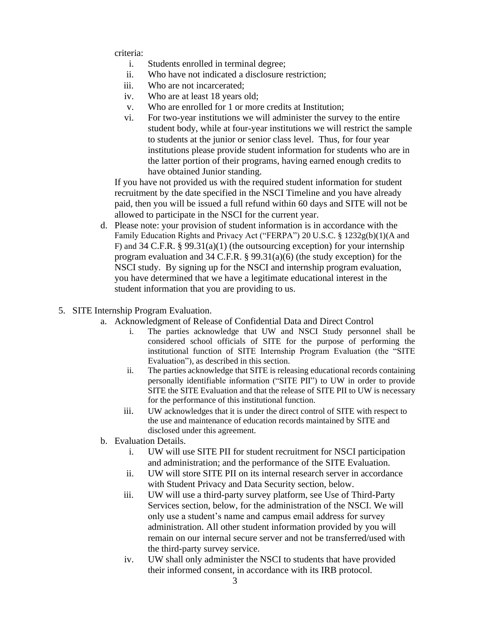criteria:

- i. Students enrolled in terminal degree;
- ii. Who have not indicated a disclosure restriction;
- iii. Who are not incarcerated;
- iv. Who are at least 18 years old;
- v. Who are enrolled for 1 or more credits at Institution;
- vi. For two-year institutions we will administer the survey to the entire student body, while at four-year institutions we will restrict the sample to students at the junior or senior class level. Thus, for four year institutions please provide student information for students who are in the latter portion of their programs, having earned enough credits to have obtained Junior standing.

If you have not provided us with the required student information for student recruitment by the date specified in the NSCI Timeline and you have already paid, then you will be issued a full refund within 60 days and SITE will not be allowed to participate in the NSCI for the current year.

- d. Please note: your provision of student information is in accordance with the Family Education Rights and Privacy Act ("FERPA") 20 U.S.C. § 1232g(b)(1)(A and F) and 34 C.F.R. § 99.31(a)(1) (the outsourcing exception) for your internship program evaluation and 34 C.F.R. § 99.31(a)(6) (the study exception) for the NSCI study. By signing up for the NSCI and internship program evaluation, you have determined that we have a legitimate educational interest in the student information that you are providing to us.
- 5. SITE Internship Program Evaluation.
	- a. Acknowledgment of Release of Confidential Data and Direct Control
		- i. The parties acknowledge that UW and NSCI Study personnel shall be considered school officials of SITE for the purpose of performing the institutional function of SITE Internship Program Evaluation (the "SITE Evaluation"), as described in this section.
		- ii. The parties acknowledge that SITE is releasing educational records containing personally identifiable information ("SITE PII") to UW in order to provide SITE the SITE Evaluation and that the release of SITE PII to UW is necessary for the performance of this institutional function.
		- iii. UW acknowledges that it is under the direct control of SITE with respect to the use and maintenance of education records maintained by SITE and disclosed under this agreement.
	- b. Evaluation Details.
		- i. UW will use SITE PII for student recruitment for NSCI participation and administration; and the performance of the SITE Evaluation.
		- ii. UW will store SITE PII on its internal research server in accordance with Student Privacy and Data Security section, below.
		- iii. UW will use a third-party survey platform, see Use of Third-Party Services section, below, for the administration of the NSCI. We will only use a student's name and campus email address for survey administration. All other student information provided by you will remain on our internal secure server and not be transferred/used with the third-party survey service.
		- iv. UW shall only administer the NSCI to students that have provided their informed consent, in accordance with its IRB protocol.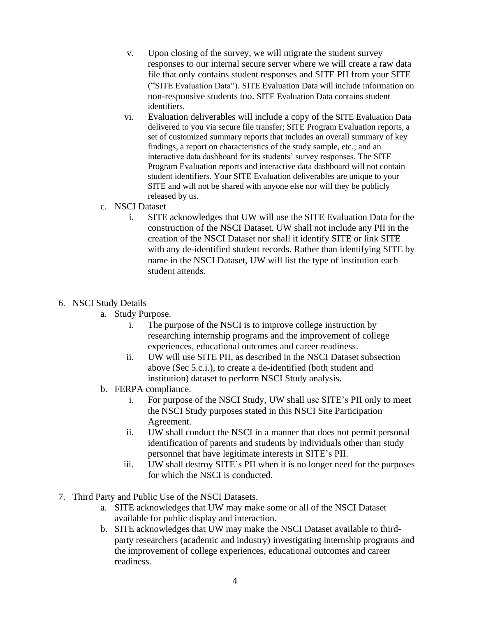- v. Upon closing of the survey, we will migrate the student survey responses to our internal secure server where we will create a raw data file that only contains student responses and SITE PII from your SITE ("SITE Evaluation Data"). SITE Evaluation Data will include information on non-responsive students too. SITE Evaluation Data contains student identifiers.
- vi. Evaluation deliverables will include a copy of the SITE Evaluation Data delivered to you via secure file transfer; SITE Program Evaluation reports, a set of customized summary reports that includes an overall summary of key findings, a report on characteristics of the study sample, etc.; and an interactive data dashboard for its students' survey responses. The SITE Program Evaluation reports and interactive data dashboard will not contain student identifiers. Your SITE Evaluation deliverables are unique to your SITE and will not be shared with anyone else nor will they be publicly released by us.
- c. NSCI Dataset
	- i. SITE acknowledges that UW will use the SITE Evaluation Data for the construction of the NSCI Dataset. UW shall not include any PII in the creation of the NSCI Dataset nor shall it identify SITE or link SITE with any de-identified student records. Rather than identifying SITE by name in the NSCI Dataset, UW will list the type of institution each student attends.
- 6. NSCI Study Details
	- a. Study Purpose.
		- i. The purpose of the NSCI is to improve college instruction by researching internship programs and the improvement of college experiences, educational outcomes and career readiness.
		- ii. UW will use SITE PII, as described in the NSCI Dataset subsection above (Sec 5.c.i.), to create a de-identified (both student and institution) dataset to perform NSCI Study analysis.
	- b. FERPA compliance.
		- i. For purpose of the NSCI Study, UW shall use SITE's PII only to meet the NSCI Study purposes stated in this NSCI Site Participation Agreement.
		- ii. UW shall conduct the NSCI in a manner that does not permit personal identification of parents and students by individuals other than study personnel that have legitimate interests in SITE's PII.
		- iii. UW shall destroy SITE's PII when it is no longer need for the purposes for which the NSCI is conducted.
- 7. Third Party and Public Use of the NSCI Datasets.
	- a. SITE acknowledges that UW may make some or all of the NSCI Dataset available for public display and interaction.
	- b. SITE acknowledges that UW may make the NSCI Dataset available to thirdparty researchers (academic and industry) investigating internship programs and the improvement of college experiences, educational outcomes and career readiness.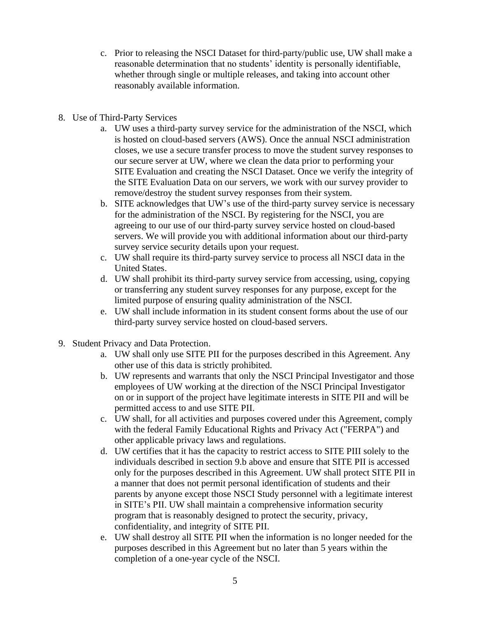- c. Prior to releasing the NSCI Dataset for third-party/public use, UW shall make a reasonable determination that no students' identity is personally identifiable, whether through single or multiple releases, and taking into account other reasonably available information.
- 8. Use of Third-Party Services
	- a. UW uses a third-party survey service for the administration of the NSCI, which is hosted on cloud-based servers (AWS). Once the annual NSCI administration closes, we use a secure transfer process to move the student survey responses to our secure server at UW, where we clean the data prior to performing your SITE Evaluation and creating the NSCI Dataset. Once we verify the integrity of the SITE Evaluation Data on our servers, we work with our survey provider to remove/destroy the student survey responses from their system.
	- b. SITE acknowledges that UW's use of the third-party survey service is necessary for the administration of the NSCI. By registering for the NSCI, you are agreeing to our use of our third-party survey service hosted on cloud-based servers. We will provide you with additional information about our third-party survey service security details upon your request.
	- c. UW shall require its third-party survey service to process all NSCI data in the United States.
	- d. UW shall prohibit its third-party survey service from accessing, using, copying or transferring any student survey responses for any purpose, except for the limited purpose of ensuring quality administration of the NSCI.
	- e. UW shall include information in its student consent forms about the use of our third-party survey service hosted on cloud-based servers.
- 9. Student Privacy and Data Protection.
	- a. UW shall only use SITE PII for the purposes described in this Agreement. Any other use of this data is strictly prohibited.
	- b. UW represents and warrants that only the NSCI Principal Investigator and those employees of UW working at the direction of the NSCI Principal Investigator on or in support of the project have legitimate interests in SITE PII and will be permitted access to and use SITE PII.
	- c. UW shall, for all activities and purposes covered under this Agreement, comply with the federal Family Educational Rights and Privacy Act ("FERPA") and other applicable privacy laws and regulations.
	- d. UW certifies that it has the capacity to restrict access to SITE PIII solely to the individuals described in section 9.b above and ensure that SITE PII is accessed only for the purposes described in this Agreement. UW shall protect SITE PII in a manner that does not permit personal identification of students and their parents by anyone except those NSCI Study personnel with a legitimate interest in SITE's PII. UW shall maintain a comprehensive information security program that is reasonably designed to protect the security, privacy, confidentiality, and integrity of SITE PII.
	- e. UW shall destroy all SITE PII when the information is no longer needed for the purposes described in this Agreement but no later than 5 years within the completion of a one-year cycle of the NSCI.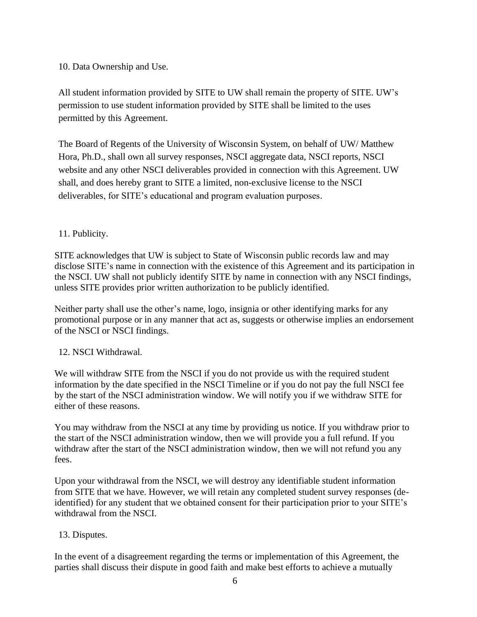### 10. Data Ownership and Use.

All student information provided by SITE to UW shall remain the property of SITE. UW's permission to use student information provided by SITE shall be limited to the uses permitted by this Agreement.

The Board of Regents of the University of Wisconsin System, on behalf of UW/ Matthew Hora, Ph.D., shall own all survey responses, NSCI aggregate data, NSCI reports, NSCI website and any other NSCI deliverables provided in connection with this Agreement. UW shall, and does hereby grant to SITE a limited, non-exclusive license to the NSCI deliverables, for SITE's educational and program evaluation purposes.

### 11. Publicity.

SITE acknowledges that UW is subject to State of Wisconsin public records law and may disclose SITE's name in connection with the existence of this Agreement and its participation in the NSCI. UW shall not publicly identify SITE by name in connection with any NSCI findings, unless SITE provides prior written authorization to be publicly identified.

Neither party shall use the other's name, logo, insignia or other identifying marks for any promotional purpose or in any manner that act as, suggests or otherwise implies an endorsement of the NSCI or NSCI findings.

### 12. NSCI Withdrawal.

We will withdraw SITE from the NSCI if you do not provide us with the required student information by the date specified in the NSCI Timeline or if you do not pay the full NSCI fee by the start of the NSCI administration window. We will notify you if we withdraw SITE for either of these reasons.

You may withdraw from the NSCI at any time by providing us notice. If you withdraw prior to the start of the NSCI administration window, then we will provide you a full refund. If you withdraw after the start of the NSCI administration window, then we will not refund you any fees.

Upon your withdrawal from the NSCI, we will destroy any identifiable student information from SITE that we have. However, we will retain any completed student survey responses (deidentified) for any student that we obtained consent for their participation prior to your SITE's withdrawal from the NSCI.

### 13. Disputes.

In the event of a disagreement regarding the terms or implementation of this Agreement, the parties shall discuss their dispute in good faith and make best efforts to achieve a mutually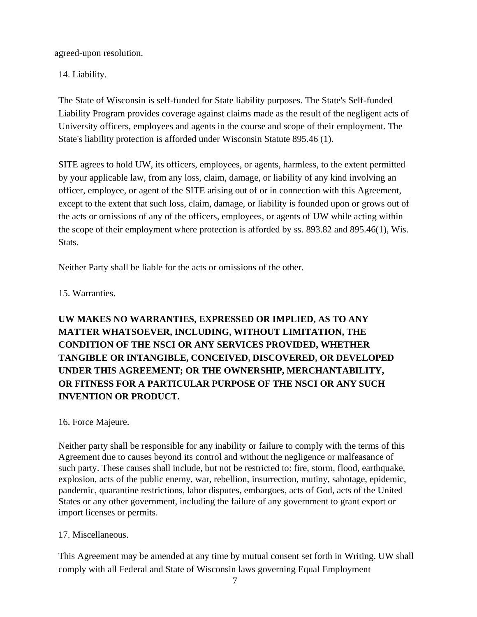agreed-upon resolution.

14. Liability.

The State of Wisconsin is self-funded for State liability purposes. The State's Self-funded Liability Program provides coverage against claims made as the result of the negligent acts of University officers, employees and agents in the course and scope of their employment. The State's liability protection is afforded under Wisconsin Statute 895.46 (1).

SITE agrees to hold UW, its officers, employees, or agents, harmless, to the extent permitted by your applicable law, from any loss, claim, damage, or liability of any kind involving an officer, employee, or agent of the SITE arising out of or in connection with this Agreement, except to the extent that such loss, claim, damage, or liability is founded upon or grows out of the acts or omissions of any of the officers, employees, or agents of UW while acting within the scope of their employment where protection is afforded by ss. 893.82 and 895.46(1), Wis. Stats.

Neither Party shall be liable for the acts or omissions of the other.

15. Warranties.

**UW MAKES NO WARRANTIES, EXPRESSED OR IMPLIED, AS TO ANY MATTER WHATSOEVER, INCLUDING, WITHOUT LIMITATION, THE CONDITION OF THE NSCI OR ANY SERVICES PROVIDED, WHETHER TANGIBLE OR INTANGIBLE, CONCEIVED, DISCOVERED, OR DEVELOPED UNDER THIS AGREEMENT; OR THE OWNERSHIP, MERCHANTABILITY, OR FITNESS FOR A PARTICULAR PURPOSE OF THE NSCI OR ANY SUCH INVENTION OR PRODUCT.**

# 16. Force Majeure.

Neither party shall be responsible for any inability or failure to comply with the terms of this Agreement due to causes beyond its control and without the negligence or malfeasance of such party. These causes shall include, but not be restricted to: fire, storm, flood, earthquake, explosion, acts of the public enemy, war, rebellion, insurrection, mutiny, sabotage, epidemic, pandemic, quarantine restrictions, labor disputes, embargoes, acts of God, acts of the United States or any other government, including the failure of any government to grant export or import licenses or permits.

# 17. Miscellaneous.

This Agreement may be amended at any time by mutual consent set forth in Writing. UW shall comply with all Federal and State of Wisconsin laws governing Equal Employment